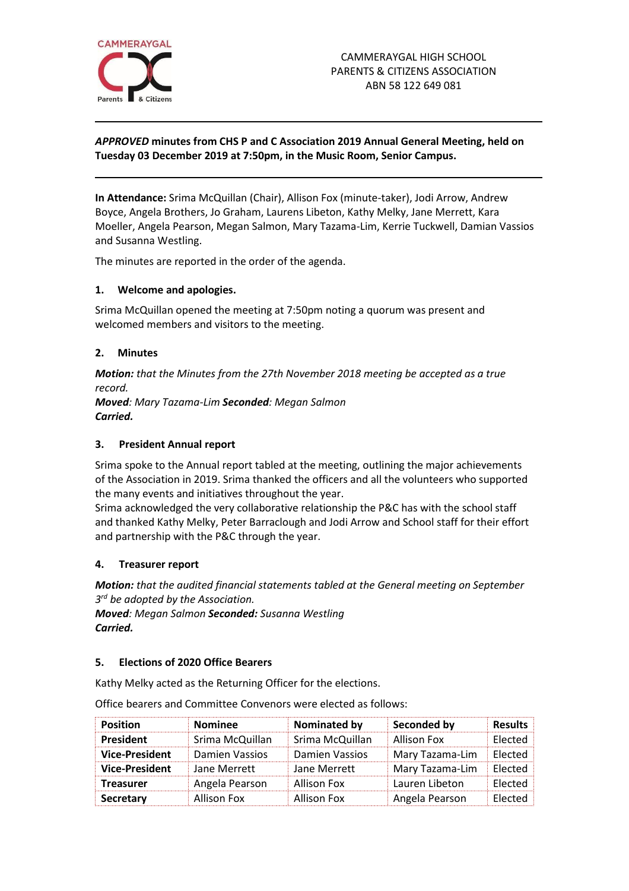

# *APPROVED* **minutes from CHS P and C Association 2019 Annual General Meeting, held on Tuesday 03 December 2019 at 7:50pm, in the Music Room, Senior Campus.**

**In Attendance:** Srima McQuillan (Chair), Allison Fox (minute-taker), Jodi Arrow, Andrew Boyce, Angela Brothers, Jo Graham, Laurens Libeton, Kathy Melky, Jane Merrett, Kara Moeller, Angela Pearson, Megan Salmon, Mary Tazama-Lim, Kerrie Tuckwell, Damian Vassios and Susanna Westling.

The minutes are reported in the order of the agenda.

### **1. Welcome and apologies.**

Srima McQuillan opened the meeting at 7:50pm noting a quorum was present and welcomed members and visitors to the meeting.

### **2. Minutes**

*Motion: that the Minutes from the 27th November 2018 meeting be accepted as a true record.* 

*Moved: Mary Tazama-Lim Seconded: Megan Salmon Carried.*

#### **3. President Annual report**

Srima spoke to the Annual report tabled at the meeting, outlining the major achievements of the Association in 2019. Srima thanked the officers and all the volunteers who supported the many events and initiatives throughout the year.

Srima acknowledged the very collaborative relationship the P&C has with the school staff and thanked Kathy Melky, Peter Barraclough and Jodi Arrow and School staff for their effort and partnership with the P&C through the year.

#### **4. Treasurer report**

*Motion: that the audited financial statements tabled at the General meeting on September 3 rd be adopted by the Association.* 

*Moved: Megan Salmon Seconded: Susanna Westling Carried.*

#### **5. Elections of 2020 Office Bearers**

Kathy Melky acted as the Returning Officer for the elections.

| <b>Position</b>       | <b>Nominee</b>  | Nominated by    | Seconded by     | <b>Results</b> |
|-----------------------|-----------------|-----------------|-----------------|----------------|
| <b>President</b>      | Srima McQuillan | Srima McQuillan | Allison Fox     | Elected        |
| <b>Vice-President</b> | Damien Vassios  | Damien Vassios  | Mary Tazama-Lim | Elected        |
| <b>Vice-President</b> | Jane Merrett    | Jane Merrett    | Mary Tazama-Lim | Elected        |
| <b>Treasurer</b>      | Angela Pearson  | Allison Fox     | Lauren Libeton  | Elected        |
| Secretary             | Allison Fox     | Allison Fox     | Angela Pearson  | Elected        |

Office bearers and Committee Convenors were elected as follows: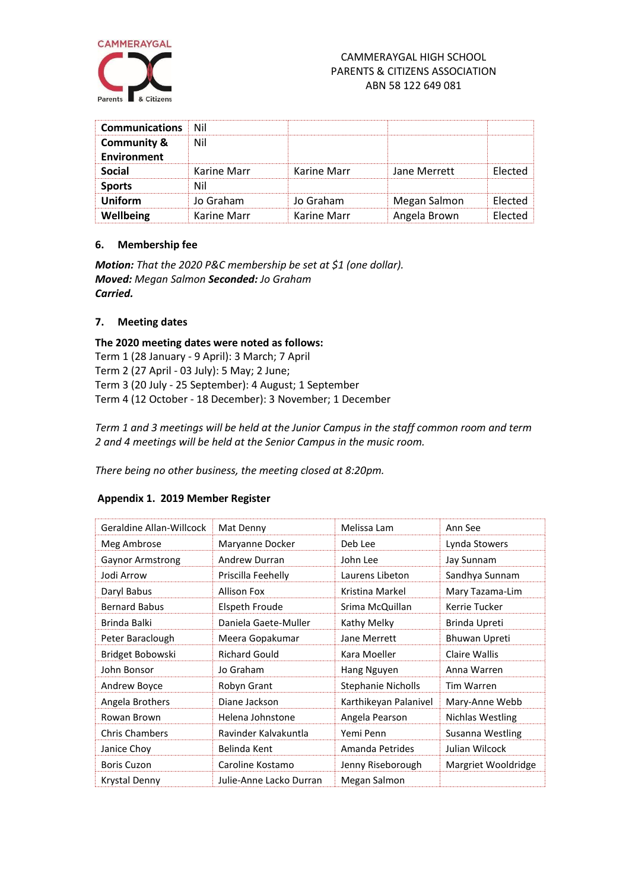

# CAMMERAYGAL HIGH SCHOOL PARENTS & CITIZENS ASSOCIATION ABN 58 122 649 081

| <b>Communications</b>                 | Nil         |             |              |  |
|---------------------------------------|-------------|-------------|--------------|--|
| <b>Community &amp;</b><br>Environment | Nil         |             |              |  |
| Social                                | Karine Marr | Karine Marr | Jane Merrett |  |
| <b>Sports</b>                         |             |             |              |  |
| Uniform                               | Jo Graham   | Jo Graham   | Megan Salmon |  |
| Wellbeing                             | Karine Marr | Karine Marr | Angela Brown |  |

### **6. Membership fee**

*Motion: That the 2020 P&C membership be set at \$1 (one dollar). Moved: Megan Salmon Seconded: Jo Graham Carried.*

### **7. Meeting dates**

**The 2020 meeting dates were noted as follows:** Term 1 (28 January - 9 April): 3 March; 7 April Term 2 (27 April - 03 July): 5 May; 2 June; Term 3 (20 July - 25 September): 4 August; 1 September Term 4 (12 October - 18 December): 3 November; 1 December

*Term 1 and 3 meetings will be held at the Junior Campus in the staff common room and term 2 and 4 meetings will be held at the Senior Campus in the music room.*

*There being no other business, the meeting closed at 8:20pm.*

#### **Appendix 1. 2019 Member Register**

| Geraldine Allan-Willcock | Mat Denny               | Melissa Lam           | Ann See              |
|--------------------------|-------------------------|-----------------------|----------------------|
| Meg Ambrose              | Maryanne Docker         | Deb Lee               | Lynda Stowers        |
| <b>Gaynor Armstrong</b>  | <b>Andrew Durran</b>    | John Lee              | Jay Sunnam           |
| Jodi Arrow               | Priscilla Feehelly      | Laurens Libeton       | Sandhya Sunnam       |
| Daryl Babus              | <b>Allison Fox</b>      | Kristina Markel       | Mary Tazama-Lim      |
| <b>Bernard Babus</b>     | Elspeth Froude          | Srima McQuillan       | Kerrie Tucker        |
| Brinda Balki             | Daniela Gaete-Muller    | Kathy Melky           | Brinda Upreti        |
| Peter Baraclough         | Meera Gopakumar         | Jane Merrett          | <b>Bhuwan Upreti</b> |
| Bridget Bobowski         | <b>Richard Gould</b>    | Kara Moeller          | Claire Wallis        |
| John Bonsor              | Jo Graham               | Hang Nguyen           | Anna Warren          |
| Andrew Boyce             | Robyn Grant             | Stephanie Nicholls    | <b>Tim Warren</b>    |
| Angela Brothers          | Diane Jackson           | Karthikeyan Palanivel | Mary-Anne Webb       |
| Rowan Brown              | Helena Johnstone        | Angela Pearson        | Nichlas Westling     |
| <b>Chris Chambers</b>    | Ravinder Kalvakuntla    | Yemi Penn             | Susanna Westling     |
| Janice Choy              | Belinda Kent            | Amanda Petrides       | Julian Wilcock       |
| <b>Boris Cuzon</b>       | Caroline Kostamo        | Jenny Riseborough     | Margriet Wooldridge  |
| Krystal Denny            | Julie-Anne Lacko Durran | Megan Salmon          |                      |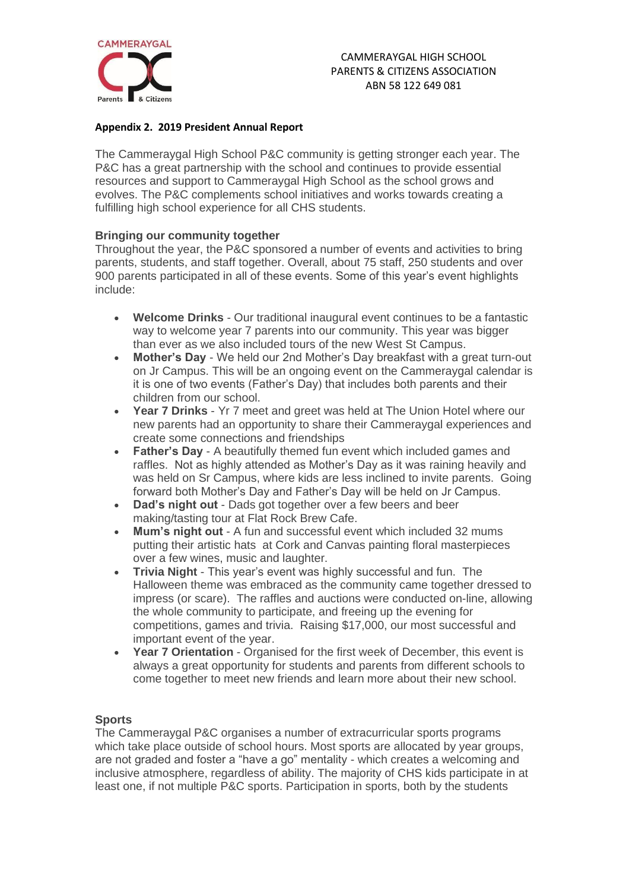

### **Appendix 2. 2019 President Annual Report**

The Cammeraygal High School P&C community is getting stronger each year. The P&C has a great partnership with the school and continues to provide essential resources and support to Cammeraygal High School as the school grows and evolves. The P&C complements school initiatives and works towards creating a fulfilling high school experience for all CHS students.

## **Bringing our community together**

Throughout the year, the P&C sponsored a number of events and activities to bring parents, students, and staff together. Overall, about 75 staff, 250 students and over 900 parents participated in all of these events. Some of this year's event highlights include:

- **Welcome Drinks** Our traditional inaugural event continues to be a fantastic way to welcome year 7 parents into our community. This year was bigger than ever as we also included tours of the new West St Campus.
- **Mother's Day** We held our 2nd Mother's Day breakfast with a great turn-out on Jr Campus. This will be an ongoing event on the Cammeraygal calendar is it is one of two events (Father's Day) that includes both parents and their children from our school.
- **Year 7 Drinks** Yr 7 meet and greet was held at The Union Hotel where our new parents had an opportunity to share their Cammeraygal experiences and create some connections and friendships
- **Father's Day** A beautifully themed fun event which included games and raffles. Not as highly attended as Mother's Day as it was raining heavily and was held on Sr Campus, where kids are less inclined to invite parents. Going forward both Mother's Day and Father's Day will be held on Jr Campus.
- **Dad's night out**  Dads got together over a few beers and beer making/tasting tour at Flat Rock Brew Cafe.
- **Mum's night out** A fun and successful event which included 32 mums putting their artistic hats at Cork and Canvas painting floral masterpieces over a few wines, music and laughter.
- **Trivia Night**  This year's event was highly successful and fun. The Halloween theme was embraced as the community came together dressed to impress (or scare). The raffles and auctions were conducted on-line, allowing the whole community to participate, and freeing up the evening for competitions, games and trivia. Raising \$17,000, our most successful and important event of the year.
- **Year 7 Orientation** Organised for the first week of December, this event is always a great opportunity for students and parents from different schools to come together to meet new friends and learn more about their new school.

## **Sports**

The Cammeraygal P&C organises a number of extracurricular sports programs which take place outside of school hours. Most sports are allocated by year groups, are not graded and foster a "have a go" mentality - which creates a welcoming and inclusive atmosphere, regardless of ability. The majority of CHS kids participate in at least one, if not multiple P&C sports. Participation in sports, both by the students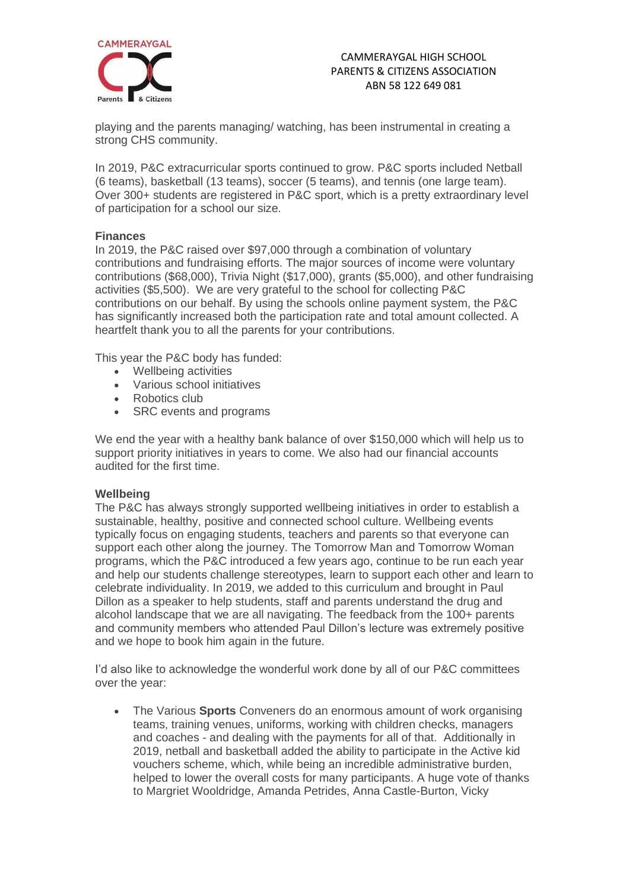

playing and the parents managing/ watching, has been instrumental in creating a strong CHS community.

In 2019, P&C extracurricular sports continued to grow. P&C sports included Netball (6 teams), basketball (13 teams), soccer (5 teams), and tennis (one large team). Over 300+ students are registered in P&C sport, which is a pretty extraordinary level of participation for a school our size.

### **Finances**

In 2019, the P&C raised over \$97,000 through a combination of voluntary contributions and fundraising efforts. The major sources of income were voluntary contributions (\$68,000), Trivia Night (\$17,000), grants (\$5,000), and other fundraising activities (\$5,500). We are very grateful to the school for collecting P&C contributions on our behalf. By using the schools online payment system, the P&C has significantly increased both the participation rate and total amount collected. A heartfelt thank you to all the parents for your contributions.

This year the P&C body has funded:

- Wellbeing activities
- Various school initiatives
- Robotics club
- SRC events and programs

We end the year with a healthy bank balance of over \$150,000 which will help us to support priority initiatives in years to come. We also had our financial accounts audited for the first time.

## **Wellbeing**

The P&C has always strongly supported wellbeing initiatives in order to establish a sustainable, healthy, positive and connected school culture. Wellbeing events typically focus on engaging students, teachers and parents so that everyone can support each other along the journey. The Tomorrow Man and Tomorrow Woman programs, which the P&C introduced a few years ago, continue to be run each year and help our students challenge stereotypes, learn to support each other and learn to celebrate individuality. In 2019, we added to this curriculum and brought in Paul Dillon as a speaker to help students, staff and parents understand the drug and alcohol landscape that we are all navigating. The feedback from the 100+ parents and community members who attended Paul Dillon's lecture was extremely positive and we hope to book him again in the future.

I'd also like to acknowledge the wonderful work done by all of our P&C committees over the year:

• The Various **Sports** Conveners do an enormous amount of work organising teams, training venues, uniforms, working with children checks, managers and coaches - and dealing with the payments for all of that. Additionally in 2019, netball and basketball added the ability to participate in the Active kid vouchers scheme, which, while being an incredible administrative burden, helped to lower the overall costs for many participants. A huge vote of thanks to Margriet Wooldridge, Amanda Petrides, Anna Castle-Burton, Vicky